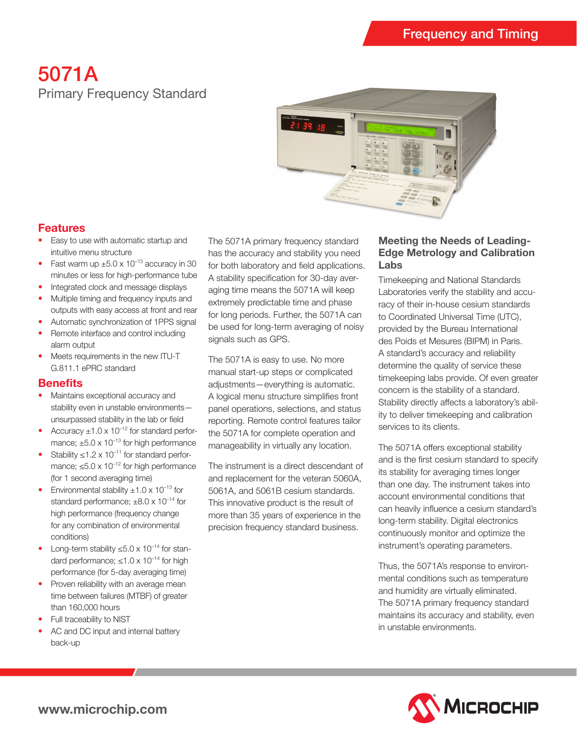# 5071A Primary Frequency Standard



## **Features**

- Easy to use with automatic startup and intuitive menu structure
- Fast warm up  $\pm 5.0 \times 10^{-13}$  accuracy in 30 minutes or less for high-performance tube
- Integrated clock and message displays
- Multiple timing and frequency inputs and outputs with easy access at front and rear
- Automatic synchronization of 1PPS signal
- Remote interface and control including alarm output
- Meets requirements in the new ITU-T G.811.1 ePRC standard

#### **Benefits**

- Maintains exceptional accuracy and stability even in unstable environments unsurpassed stability in the lab or field
- Accuracy  $\pm 1.0 \times 10^{-12}$  for standard performance;  $\pm 5.0 \times 10^{-13}$  for high performance
- Stability ≤1.2 x 10<sup>-11</sup> for standard performance;  $\leq 5.0 \times 10^{-12}$  for high performance (for 1 second averaging time)
- Environmental stability  $\pm 1.0 \times 10^{-13}$  for standard performance;  $\pm 8.0 \times 10^{-14}$  for high performance (frequency change for any combination of environmental conditions)
- Long-term stability  $\leq 5.0 \times 10^{-14}$  for standard performance;  $\leq 1.0 \times 10^{-14}$  for high performance (for 5-day averaging time)
- Proven reliability with an average mean time between failures (MTBF) of greater than 160,000 hours
- Full traceability to NIST
- AC and DC input and internal battery back-up

The 5071A primary frequency standard has the accuracy and stability you need for both laboratory and field applications. A stability specification for 30-day averaging time means the 5071A will keep extremely predictable time and phase for long periods. Further, the 5071A can be used for long-term averaging of noisy signals such as GPS.

The 5071A is easy to use. No more manual start-up steps or complicated adjustments—everything is automatic. A logical menu structure simplifies front panel operations, selections, and status reporting. Remote control features tailor the 5071A for complete operation and manageability in virtually any location.

The instrument is a direct descendant of and replacement for the veteran 5060A, 5061A, and 5061B cesium standards. This innovative product is the result of more than 35 years of experience in the precision frequency standard business.

#### **Meeting the Needs of Leading-Edge Metrology and Calibration Labs**

Timekeeping and National Standards Laboratories verify the stability and accuracy of their in-house cesium standards to Coordinated Universal Time (UTC), provided by the Bureau International des Poids et Mesures (BIPM) in Paris. A standard's accuracy and reliability determine the quality of service these timekeeping labs provide. Of even greater concern is the stability of a standard. Stability directly affects a laboratory's ability to deliver timekeeping and calibration services to its clients.

The 5071A offers exceptional stability and is the first cesium standard to specify its stability for averaging times longer than one day. The instrument takes into account environmental conditions that can heavily influence a cesium standard's long-term stability. Digital electronics continuously monitor and optimize the instrument's operating parameters.

Thus, the 5071A's response to environmental conditions such as temperature and humidity are virtually eliminated. The 5071A primary frequency standard maintains its accuracy and stability, even in unstable environments.

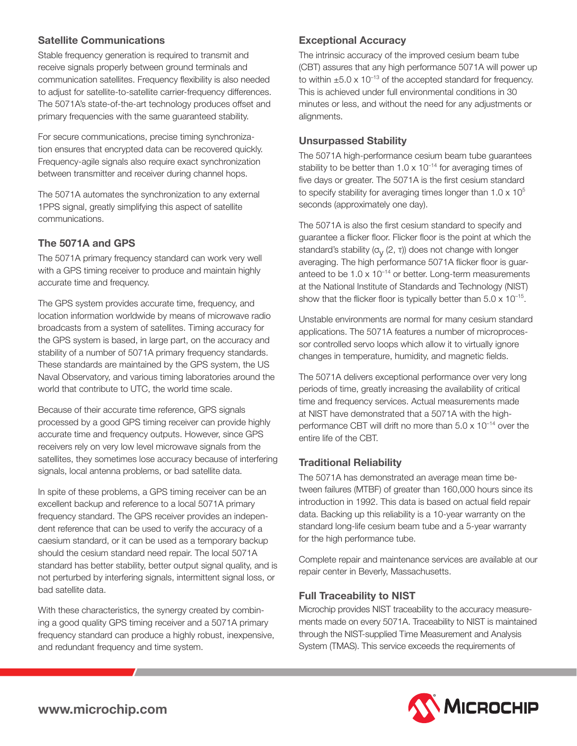## **Satellite Communications**

Stable frequency generation is required to transmit and receive signals properly between ground terminals and communication satellites. Frequency flexibility is also needed to adjust for satellite-to-satellite carrier-frequency differences. The 5071A's state-of-the-art technology produces offset and primary frequencies with the same guaranteed stability.

For secure communications, precise timing synchronization ensures that encrypted data can be recovered quickly. Frequency-agile signals also require exact synchronization between transmitter and receiver during channel hops.

The 5071A automates the synchronization to any external 1PPS signal, greatly simplifying this aspect of satellite communications.

## **The 5071A and GPS**

The 5071A primary frequency standard can work very well with a GPS timing receiver to produce and maintain highly accurate time and frequency.

The GPS system provides accurate time, frequency, and location information worldwide by means of microwave radio broadcasts from a system of satellites. Timing accuracy for the GPS system is based, in large part, on the accuracy and stability of a number of 5071A primary frequency standards. These standards are maintained by the GPS system, the US Naval Observatory, and various timing laboratories around the world that contribute to UTC, the world time scale.

Because of their accurate time reference, GPS signals processed by a good GPS timing receiver can provide highly accurate time and frequency outputs. However, since GPS receivers rely on very low level microwave signals from the satellites, they sometimes lose accuracy because of interfering signals, local antenna problems, or bad satellite data.

In spite of these problems, a GPS timing receiver can be an excellent backup and reference to a local 5071A primary frequency standard. The GPS receiver provides an independent reference that can be used to verify the accuracy of a caesium standard, or it can be used as a temporary backup should the cesium standard need repair. The local 5071A standard has better stability, better output signal quality, and is not perturbed by interfering signals, intermittent signal loss, or bad satellite data.

With these characteristics, the synergy created by combining a good quality GPS timing receiver and a 5071A primary frequency standard can produce a highly robust, inexpensive, and redundant frequency and time system.

## **Exceptional Accuracy**

The intrinsic accuracy of the improved cesium beam tube (CBT) assures that any high performance 5071A will power up to within  $\pm 5.0 \times 10^{-13}$  of the accepted standard for frequency. This is achieved under full environmental conditions in 30 minutes or less, and without the need for any adjustments or alignments.

#### **Unsurpassed Stability**

The 5071A high-performance cesium beam tube guarantees stability to be better than  $1.0 \times 10^{-14}$  for averaging times of five days or greater. The 5071A is the first cesium standard to specify stability for averaging times longer than  $1.0 \times 10^5$ seconds (approximately one day).

The 5071A is also the first cesium standard to specify and guarantee a flicker floor. Flicker floor is the point at which the standard's stability  $(\sigma_v(2, \tau))$  does not change with longer averaging. The high performance 5071A flicker floor is guaranteed to be  $1.0 \times 10^{-14}$  or better. Long-term measurements at the National Institute of Standards and Technology (NIST) show that the flicker floor is typically better than  $5.0 \times 10^{-15}$ .

Unstable environments are normal for many cesium standard applications. The 5071A features a number of microprocessor controlled servo loops which allow it to virtually ignore changes in temperature, humidity, and magnetic fields.

The 5071A delivers exceptional performance over very long periods of time, greatly increasing the availability of critical time and frequency services. Actual measurements made at NIST have demonstrated that a 5071A with the highperformance CBT will drift no more than  $5.0 \times 10^{-14}$  over the entire life of the CBT.

## **Traditional Reliability**

The 5071A has demonstrated an average mean time between failures (MTBF) of greater than 160,000 hours since its introduction in 1992. This data is based on actual field repair data. Backing up this reliability is a 10-year warranty on the standard long-life cesium beam tube and a 5-year warranty for the high performance tube.

Complete repair and maintenance services are available at our repair center in Beverly, Massachusetts.

## **Full Traceability to NIST**

Microchip provides NIST traceability to the accuracy measurements made on every 5071A. Traceability to NIST is maintained through the NIST-supplied Time Measurement and Analysis System (TMAS). This service exceeds the requirements of

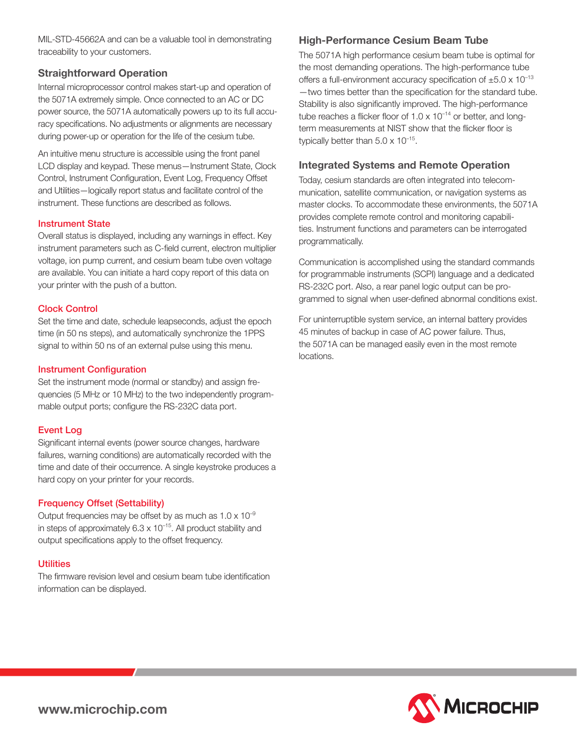MIL-STD-45662A and can be a valuable tool in demonstrating traceability to your customers.

#### **Straightforward Operation**

Internal microprocessor control makes start-up and operation of the 5071A extremely simple. Once connected to an AC or DC power source, the 5071A automatically powers up to its full accuracy specifications. No adjustments or alignments are necessary during power-up or operation for the life of the cesium tube.

An intuitive menu structure is accessible using the front panel LCD display and keypad. These menus—Instrument State, Clock Control, Instrument Configuration, Event Log, Frequency Offset and Utilities—logically report status and facilitate control of the instrument. These functions are described as follows.

#### Instrument State

Overall status is displayed, including any warnings in effect. Key instrument parameters such as C-field current, electron multiplier voltage, ion pump current, and cesium beam tube oven voltage are available. You can initiate a hard copy report of this data on your printer with the push of a button.

#### Clock Control

Set the time and date, schedule leapseconds, adjust the epoch time (in 50 ns steps), and automatically synchronize the 1PPS signal to within 50 ns of an external pulse using this menu.

#### Instrument Configuration

Set the instrument mode (normal or standby) and assign frequencies (5 MHz or 10 MHz) to the two independently programmable output ports; configure the RS-232C data port.

#### Event Log

Significant internal events (power source changes, hardware failures, warning conditions) are automatically recorded with the time and date of their occurrence. A single keystroke produces a hard copy on your printer for your records.

#### Frequency Offset (Settability)

Output frequencies may be offset by as much as  $1.0 \times 10^{-9}$ in steps of approximately  $6.3 \times 10^{-15}$ . All product stability and output specifications apply to the offset frequency.

#### **Utilities**

The firmware revision level and cesium beam tube identification information can be displayed.

## **High-Performance Cesium Beam Tube**

The 5071A high performance cesium beam tube is optimal for the most demanding operations. The high-performance tube offers a full-environment accuracy specification of  $\pm 5.0 \times 10^{-13}$ —two times better than the specification for the standard tube. Stability is also significantly improved. The high-performance tube reaches a flicker floor of  $1.0 \times 10^{-14}$  or better, and longterm measurements at NIST show that the flicker floor is typically better than  $5.0 \times 10^{-15}$ .

### **Integrated Systems and Remote Operation**

Today, cesium standards are often integrated into telecommunication, satellite communication, or navigation systems as master clocks. To accommodate these environments, the 5071A provides complete remote control and monitoring capabilities. Instrument functions and parameters can be interrogated programmatically.

Communication is accomplished using the standard commands for programmable instruments (SCPI) language and a dedicated RS-232C port. Also, a rear panel logic output can be programmed to signal when user-defined abnormal conditions exist.

For uninterruptible system service, an internal battery provides 45 minutes of backup in case of AC power failure. Thus, the 5071A can be managed easily even in the most remote locations.

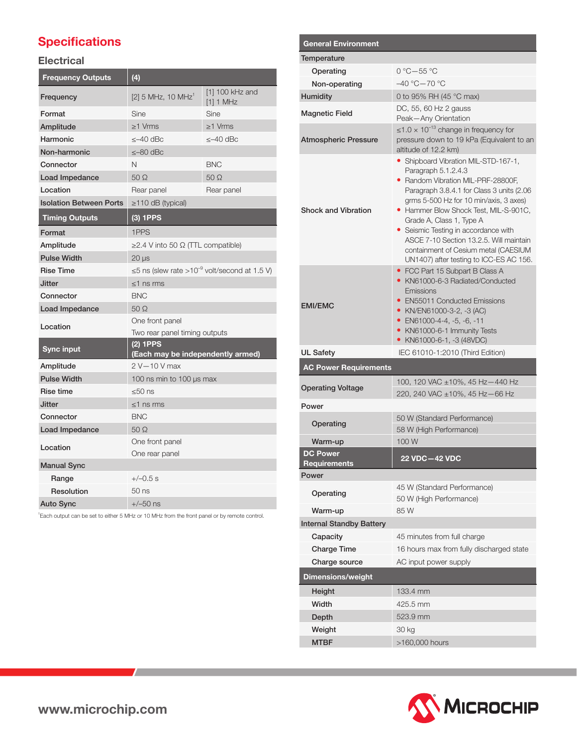## **Specifications**

## **Electrical**

| <b>Frequency Outputs</b>       | (4)                                                            |                                |
|--------------------------------|----------------------------------------------------------------|--------------------------------|
| Frequency                      | $[2]$ 5 MHz, 10 MHz <sup>1</sup>                               | [1] 100 kHz and<br>$[1]$ 1 MHz |
| Format                         | Sine                                                           | Sine                           |
| Amplitude                      | >1 Vrms                                                        | $>1$ Vrms                      |
| Harmonic                       | $<-40$ dBc                                                     | $<-40$ dBc                     |
| Non-harmonic                   | $\leq -80$ dBc                                                 |                                |
| Connector                      | N                                                              | <b>BNC</b>                     |
| Load Impedance                 | $50\Omega$                                                     | $50\Omega$                     |
| Location                       | Rear panel                                                     | Rear panel                     |
| <b>Isolation Between Ports</b> | $\geq$ 110 dB (typical)                                        |                                |
| <b>Timing Outputs</b>          | $(3)$ 1PPS                                                     |                                |
| Format                         | 1PPS                                                           |                                |
| Amplitude                      | $\geq$ 2.4 V into 50 Ω (TTL compatible)                        |                                |
| <b>Pulse Width</b>             | 20 µs                                                          |                                |
| <b>Rise Time</b>               | $\leq$ 5 ns (slew rate >10 <sup>-9</sup> volt/second at 1.5 V) |                                |
| <b>Jitter</b>                  | $<$ 1 ns rms                                                   |                                |
| Connector                      | <b>BNC</b>                                                     |                                |
| Load Impedance                 | $50\Omega$                                                     |                                |
| Location                       | One front panel                                                |                                |
|                                | Two rear panel timing outputs                                  |                                |
| Sync input                     | $(2)$ 1PPS<br>(Each may be independently armed)                |                                |
| Amplitude                      | $2 V - 10 V$ max                                               |                                |
| <b>Pulse Width</b>             | 100 ns min to 100 µs max                                       |                                |
| Rise time                      | $<50$ ns                                                       |                                |
| <b>Jitter</b>                  | ≤1 ns rms                                                      |                                |
| Connector                      | <b>BNC</b>                                                     |                                |
| Load Impedance                 | 50Q                                                            |                                |
| Location                       | One front panel<br>One rear panel                              |                                |
| <b>Manual Sync</b>             |                                                                |                                |
| Range                          | $+/-0.5$ s                                                     |                                |
|                                | $50$ ns                                                        |                                |
| Resolution                     |                                                                |                                |

<sup>1</sup> Each output can be set to either 5 MHz or 10 MHz from the front panel or by remote control.

| General Environment                    |                                                                                                                                                                                                                                                                                                                                                                                                                                   |
|----------------------------------------|-----------------------------------------------------------------------------------------------------------------------------------------------------------------------------------------------------------------------------------------------------------------------------------------------------------------------------------------------------------------------------------------------------------------------------------|
| Temperature                            |                                                                                                                                                                                                                                                                                                                                                                                                                                   |
| Operating                              | $0 °C - 55 °C$                                                                                                                                                                                                                                                                                                                                                                                                                    |
| Non-operating                          | $-40 °C - 70 °C$                                                                                                                                                                                                                                                                                                                                                                                                                  |
| Humidity                               | 0 to 95% RH (45 °C max)                                                                                                                                                                                                                                                                                                                                                                                                           |
| <b>Magnetic Field</b>                  | DC, 55, 60 Hz 2 gauss<br>Peak-Any Orientation                                                                                                                                                                                                                                                                                                                                                                                     |
| <b>Atmospheric Pressure</b>            | $\leq 1.0 \times 10^{-13}$ change in frequency for<br>pressure down to 19 kPa (Equivalent to an<br>altitude of 12.2 km)                                                                                                                                                                                                                                                                                                           |
| <b>Shock and Vibration</b>             | Shipboard Vibration MIL-STD-167-1,<br>Paragraph 5.1.2.4.3<br>• Random Vibration MIL-PRF-28800F,<br>Paragraph 3.8.4.1 for Class 3 units (2.06<br>grms 5-500 Hz for 10 min/axis, 3 axes)<br>• Hammer Blow Shock Test, MIL-S-901C,<br>Grade A, Class 1, Type A<br>• Seismic Testing in accordance with<br>ASCE 7-10 Section 13.2.5. Will maintain<br>containment of Cesium metal (CAESIUM<br>UN1407) after testing to ICC-ES AC 156. |
| <b>EMI/EMC</b>                         | • FCC Part 15 Subpart B Class A<br>KN61000-6-3 Radiated/Conducted<br>Emissions<br>• EN55011 Conducted Emissions<br>• KN/EN61000-3-2, -3 (AC)<br>• EN61000-4-4, -5, -6, -11<br>KN61000-6-1 Immunity Tests<br>KN61000-6-1, -3 (48VDC)                                                                                                                                                                                               |
| <b>UL Safety</b>                       | IEC 61010-1:2010 (Third Edition)                                                                                                                                                                                                                                                                                                                                                                                                  |
| <b>AC Power Requirements</b>           |                                                                                                                                                                                                                                                                                                                                                                                                                                   |
| <b>Operating Voltage</b>               | 100, 120 VAC ±10%, 45 Hz-440 Hz<br>220, 240 VAC ±10%, 45 Hz-66 Hz                                                                                                                                                                                                                                                                                                                                                                 |
| Power                                  |                                                                                                                                                                                                                                                                                                                                                                                                                                   |
| Operating                              | 50 W (Standard Performance)                                                                                                                                                                                                                                                                                                                                                                                                       |
|                                        | 58 W (High Performance)                                                                                                                                                                                                                                                                                                                                                                                                           |
| Warm-up                                | 100W                                                                                                                                                                                                                                                                                                                                                                                                                              |
| <b>DC Power</b><br><b>Requirements</b> | 22 VDC-42 VDC                                                                                                                                                                                                                                                                                                                                                                                                                     |
| Power                                  |                                                                                                                                                                                                                                                                                                                                                                                                                                   |
| Operating                              | 45 W (Standard Performance)<br>50 W (High Performance)                                                                                                                                                                                                                                                                                                                                                                            |
| Warm-up                                | 85 W                                                                                                                                                                                                                                                                                                                                                                                                                              |
| <b>Internal Standby Battery</b>        |                                                                                                                                                                                                                                                                                                                                                                                                                                   |
| Capacity                               | 45 minutes from full charge                                                                                                                                                                                                                                                                                                                                                                                                       |
| <b>Charge Time</b>                     | 16 hours max from fully discharged state                                                                                                                                                                                                                                                                                                                                                                                          |
| Charge source                          | AC input power supply                                                                                                                                                                                                                                                                                                                                                                                                             |
| <b>Dimensions/weight</b>               |                                                                                                                                                                                                                                                                                                                                                                                                                                   |
| Height                                 | 133.4 mm                                                                                                                                                                                                                                                                                                                                                                                                                          |
| Width                                  | 425.5 mm                                                                                                                                                                                                                                                                                                                                                                                                                          |
| Depth                                  | 523.9 mm                                                                                                                                                                                                                                                                                                                                                                                                                          |
| Weight                                 | 30 kg                                                                                                                                                                                                                                                                                                                                                                                                                             |
| <b>MTBF</b>                            | >160,000 hours                                                                                                                                                                                                                                                                                                                                                                                                                    |